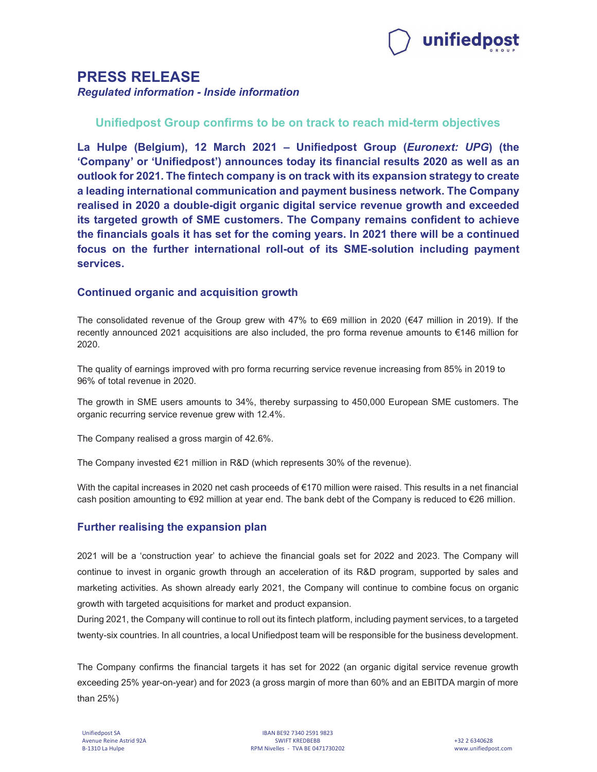

# PRESS RELEASE

Regulated information - Inside information

# Unifiedpost Group confirms to be on track to reach mid-term objectives

La Hulpe (Belgium), 12 March 2021 – Unifiedpost Group (Euronext: UPG) (the 'Company' or 'Unifiedpost') announces today its financial results 2020 as well as an outlook for 2021. The fintech company is on track with its expansion strategy to create a leading international communication and payment business network. The Company realised in 2020 a double-digit organic digital service revenue growth and exceeded its targeted growth of SME customers. The Company remains confident to achieve the financials goals it has set for the coming years. In 2021 there will be a continued focus on the further international roll-out of its SME-solution including payment services.

### Continued organic and acquisition growth

The consolidated revenue of the Group grew with 47% to €69 million in 2020 (€47 million in 2019). If the recently announced 2021 acquisitions are also included, the pro forma revenue amounts to €146 million for 2020.

The quality of earnings improved with pro forma recurring service revenue increasing from 85% in 2019 to 96% of total revenue in 2020.

The growth in SME users amounts to 34%, thereby surpassing to 450,000 European SME customers. The organic recurring service revenue grew with 12.4%.

The Company realised a gross margin of 42.6%.

The Company invested €21 million in R&D (which represents 30% of the revenue).

With the capital increases in 2020 net cash proceeds of €170 million were raised. This results in a net financial cash position amounting to €92 million at year end. The bank debt of the Company is reduced to €26 million.

### Further realising the expansion plan

2021 will be a 'construction year' to achieve the financial goals set for 2022 and 2023. The Company will continue to invest in organic growth through an acceleration of its R&D program, supported by sales and marketing activities. As shown already early 2021, the Company will continue to combine focus on organic growth with targeted acquisitions for market and product expansion.

During 2021, the Company will continue to roll out its fintech platform, including payment services, to a targeted twenty-six countries. In all countries, a local Unifiedpost team will be responsible for the business development.

The Company confirms the financial targets it has set for 2022 (an organic digital service revenue growth exceeding 25% year-on-year) and for 2023 (a gross margin of more than 60% and an EBITDA margin of more than 25%)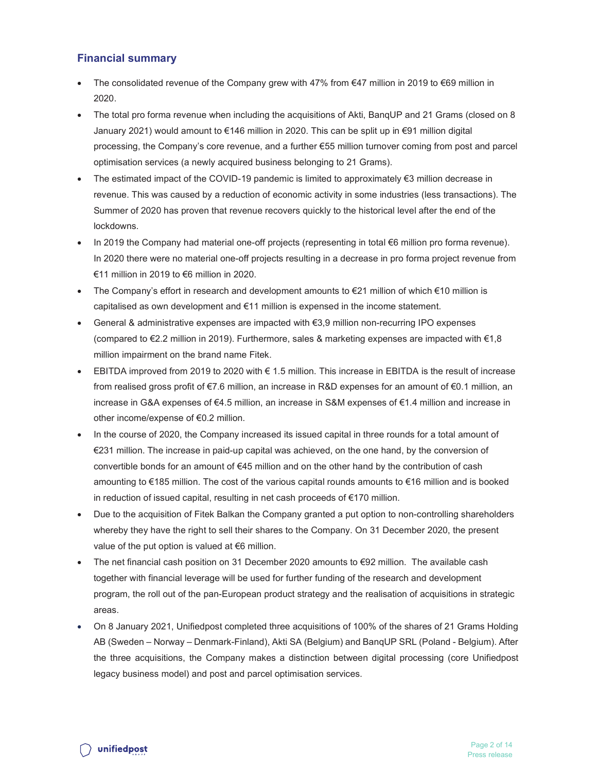### Financial summary

- The consolidated revenue of the Company grew with 47% from  $\epsilon$ 47 million in 2019 to  $\epsilon$ 69 million in 2020.
- The total pro forma revenue when including the acquisitions of Akti, BangUP and 21 Grams (closed on 8 January 2021) would amount to €146 million in 2020. This can be split up in €91 million digital processing, the Company's core revenue, and a further €55 million turnover coming from post and parcel optimisation services (a newly acquired business belonging to 21 Grams).
- The estimated impact of the COVID-19 pandemic is limited to approximately €3 million decrease in revenue. This was caused by a reduction of economic activity in some industries (less transactions). The Summer of 2020 has proven that revenue recovers quickly to the historical level after the end of the lockdowns.
- In 2019 the Company had material one-off projects (representing in total €6 million pro forma revenue). In 2020 there were no material one-off projects resulting in a decrease in pro forma project revenue from €11 million in 2019 to €6 million in 2020.
- The Company's effort in research and development amounts to €21 million of which €10 million is capitalised as own development and €11 million is expensed in the income statement.
- General & administrative expenses are impacted with €3,9 million non-recurring IPO expenses (compared to €2.2 million in 2019). Furthermore, sales & marketing expenses are impacted with €1,8 million impairment on the brand name Fitek.
- EBITDA improved from 2019 to 2020 with € 1.5 million. This increase in EBITDA is the result of increase from realised gross profit of €7.6 million, an increase in R&D expenses for an amount of €0.1 million, an increase in G&A expenses of €4.5 million, an increase in S&M expenses of €1.4 million and increase in other income/expense of €0.2 million.
- In the course of 2020, the Company increased its issued capital in three rounds for a total amount of €231 million. The increase in paid-up capital was achieved, on the one hand, by the conversion of convertible bonds for an amount of €45 million and on the other hand by the contribution of cash amounting to €185 million. The cost of the various capital rounds amounts to €16 million and is booked in reduction of issued capital, resulting in net cash proceeds of €170 million.
- Due to the acquisition of Fitek Balkan the Company granted a put option to non-controlling shareholders whereby they have the right to sell their shares to the Company. On 31 December 2020, the present value of the put option is valued at  $€6$  million.
- The net financial cash position on 31 December 2020 amounts to €92 million. The available cash together with financial leverage will be used for further funding of the research and development program, the roll out of the pan-European product strategy and the realisation of acquisitions in strategic areas.
- On 8 January 2021, Unifiedpost completed three acquisitions of 100% of the shares of 21 Grams Holding AB (Sweden – Norway – Denmark-Finland), Akti SA (Belgium) and BanqUP SRL (Poland - Belgium). After the three acquisitions, the Company makes a distinction between digital processing (core Unifiedpost legacy business model) and post and parcel optimisation services.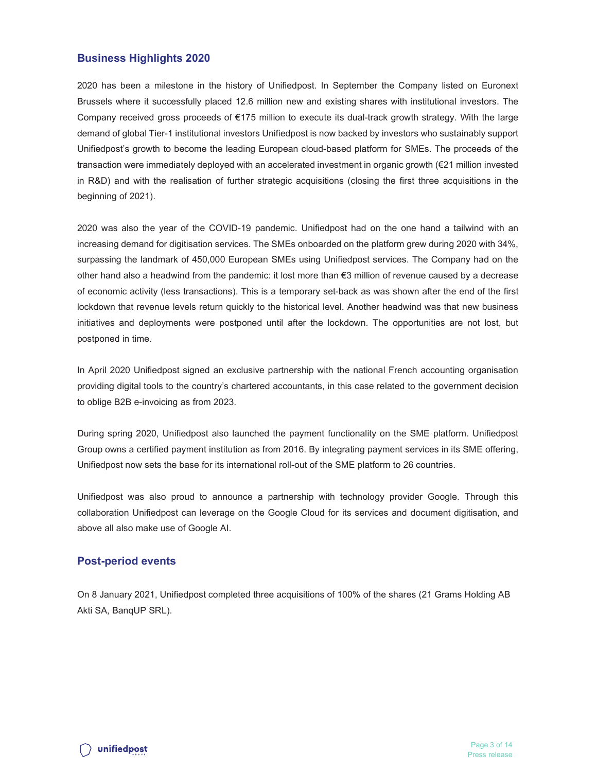### Business Highlights 2020

2020 has been a milestone in the history of Unifiedpost. In September the Company listed on Euronext Brussels where it successfully placed 12.6 million new and existing shares with institutional investors. The Company received gross proceeds of €175 million to execute its dual-track growth strategy. With the large demand of global Tier-1 institutional investors Unifiedpost is now backed by investors who sustainably support Unifiedpost's growth to become the leading European cloud-based platform for SMEs. The proceeds of the transaction were immediately deployed with an accelerated investment in organic growth (€21 million invested in R&D) and with the realisation of further strategic acquisitions (closing the first three acquisitions in the beginning of 2021).

2020 was also the year of the COVID-19 pandemic. Unifiedpost had on the one hand a tailwind with an increasing demand for digitisation services. The SMEs onboarded on the platform grew during 2020 with 34%, surpassing the landmark of 450,000 European SMEs using Unifiedpost services. The Company had on the other hand also a headwind from the pandemic: it lost more than €3 million of revenue caused by a decrease of economic activity (less transactions). This is a temporary set-back as was shown after the end of the first lockdown that revenue levels return quickly to the historical level. Another headwind was that new business initiatives and deployments were postponed until after the lockdown. The opportunities are not lost, but postponed in time.

In April 2020 Unifiedpost signed an exclusive partnership with the national French accounting organisation providing digital tools to the country's chartered accountants, in this case related to the government decision to oblige B2B e-invoicing as from 2023.

During spring 2020, Unifiedpost also launched the payment functionality on the SME platform. Unifiedpost Group owns a certified payment institution as from 2016. By integrating payment services in its SME offering, Unifiedpost now sets the base for its international roll-out of the SME platform to 26 countries.

Unifiedpost was also proud to announce a partnership with technology provider Google. Through this collaboration Unifiedpost can leverage on the Google Cloud for its services and document digitisation, and above all also make use of Google AI.

### Post-period events

On 8 January 2021, Unifiedpost completed three acquisitions of 100% of the shares (21 Grams Holding AB Akti SA, BanqUP SRL).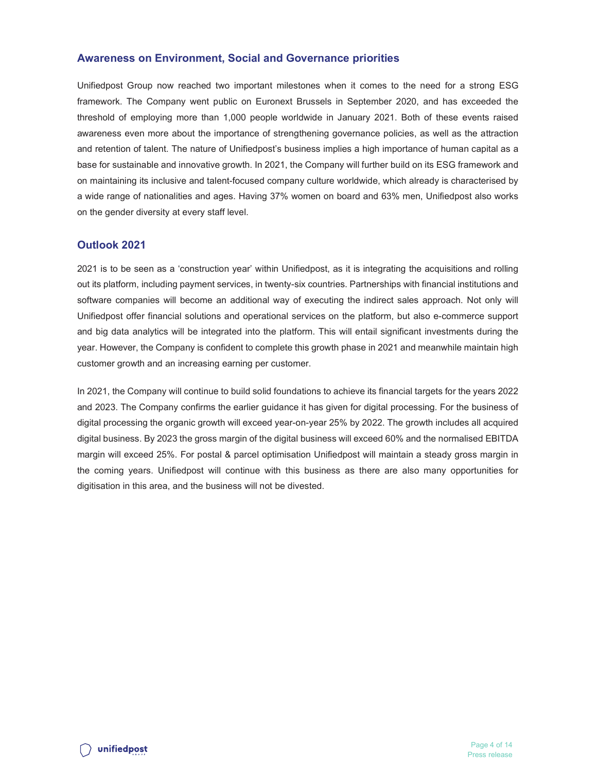### Awareness on Environment, Social and Governance priorities

Unifiedpost Group now reached two important milestones when it comes to the need for a strong ESG framework. The Company went public on Euronext Brussels in September 2020, and has exceeded the threshold of employing more than 1,000 people worldwide in January 2021. Both of these events raised awareness even more about the importance of strengthening governance policies, as well as the attraction and retention of talent. The nature of Unifiedpost's business implies a high importance of human capital as a base for sustainable and innovative growth. In 2021, the Company will further build on its ESG framework and on maintaining its inclusive and talent-focused company culture worldwide, which already is characterised by a wide range of nationalities and ages. Having 37% women on board and 63% men, Unifiedpost also works on the gender diversity at every staff level.

### Outlook 2021

2021 is to be seen as a 'construction year' within Unifiedpost, as it is integrating the acquisitions and rolling out its platform, including payment services, in twenty-six countries. Partnerships with financial institutions and software companies will become an additional way of executing the indirect sales approach. Not only will Unifiedpost offer financial solutions and operational services on the platform, but also e-commerce support and big data analytics will be integrated into the platform. This will entail significant investments during the year. However, the Company is confident to complete this growth phase in 2021 and meanwhile maintain high customer growth and an increasing earning per customer.

In 2021, the Company will continue to build solid foundations to achieve its financial targets for the years 2022 and 2023. The Company confirms the earlier guidance it has given for digital processing. For the business of digital processing the organic growth will exceed year-on-year 25% by 2022. The growth includes all acquired digital business. By 2023 the gross margin of the digital business will exceed 60% and the normalised EBITDA margin will exceed 25%. For postal & parcel optimisation Unifiedpost will maintain a steady gross margin in the coming years. Unifiedpost will continue with this business as there are also many opportunities for digitisation in this area, and the business will not be divested.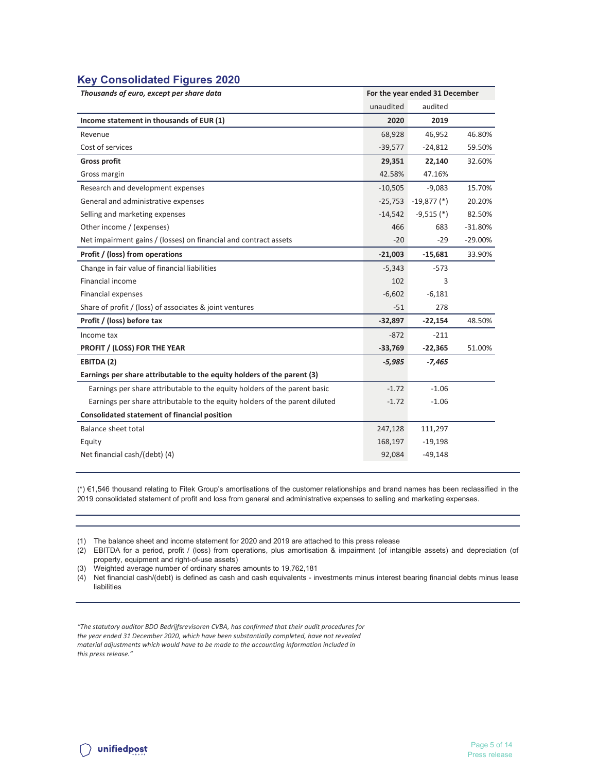### Key Consolidated Figures 2020

| Thousands of euro, except per share data                                    | For the year ended 31 December |               |            |
|-----------------------------------------------------------------------------|--------------------------------|---------------|------------|
|                                                                             | unaudited                      | audited       |            |
| Income statement in thousands of EUR (1)                                    | 2020                           | 2019          |            |
| Revenue                                                                     | 68,928                         | 46,952        | 46.80%     |
| Cost of services                                                            | $-39,577$                      | $-24,812$     | 59.50%     |
| <b>Gross profit</b>                                                         | 29,351                         | 22,140        | 32.60%     |
| Gross margin                                                                | 42.58%                         | 47.16%        |            |
| Research and development expenses                                           | $-10,505$                      | $-9,083$      | 15.70%     |
| General and administrative expenses                                         | $-25,753$                      | $-19,877$ (*) | 20.20%     |
| Selling and marketing expenses                                              | $-14,542$                      | $-9,515$ (*)  | 82.50%     |
| Other income / (expenses)                                                   | 466                            | 683           | $-31.80%$  |
| Net impairment gains / (losses) on financial and contract assets            | $-20$                          | $-29$         | $-29.00\%$ |
| Profit / (loss) from operations                                             | $-21,003$                      | $-15,681$     | 33.90%     |
| Change in fair value of financial liabilities                               | $-5,343$                       | $-573$        |            |
| Financial income                                                            | 102                            | 3             |            |
| <b>Financial expenses</b>                                                   | $-6,602$                       | $-6,181$      |            |
| Share of profit / (loss) of associates & joint ventures                     | $-51$                          | 278           |            |
| Profit / (loss) before tax                                                  | $-32,897$                      | $-22,154$     | 48.50%     |
| Income tax                                                                  | $-872$                         | $-211$        |            |
| PROFIT / (LOSS) FOR THE YEAR                                                | $-33,769$                      | $-22,365$     | 51.00%     |
| EBITDA (2)                                                                  | $-5,985$                       | $-7,465$      |            |
| Earnings per share attributable to the equity holders of the parent (3)     |                                |               |            |
| Earnings per share attributable to the equity holders of the parent basic   | $-1.72$                        | $-1.06$       |            |
| Earnings per share attributable to the equity holders of the parent diluted | $-1.72$                        | $-1.06$       |            |
| Consolidated statement of financial position                                |                                |               |            |
| Balance sheet total                                                         | 247,128                        | 111,297       |            |
| Equity                                                                      | 168,197                        | $-19,198$     |            |
| Net financial cash/(debt) (4)                                               | 92,084                         | $-49,148$     |            |

(\*) €1,546 thousand relating to Fitek Group's amortisations of the customer relationships and brand names has been reclassified in the 2019 consolidated statement of profit and loss from general and administrative expenses to selling and marketing expenses.

(1) The balance sheet and income statement for 2020 and 2019 are attached to this press release

(2) EBITDA for a period, profit / (loss) from operations, plus amortisation & impairment (of intangible assets) and depreciation (of property, equipment and right-of-use assets)

(3) Weighted average number of ordinary shares amounts to 19,762,181

(4) Net financial cash/(debt) is defined as cash and cash equivalents - investments minus interest bearing financial debts minus lease liabilities

"The statutory auditor BDO Bedrijfsrevisoren CVBA, has confirmed that their audit procedures for the year ended 31 December 2020, which have been substantially completed, have not revealed material adjustments which would have to be made to the accounting information included in this press release."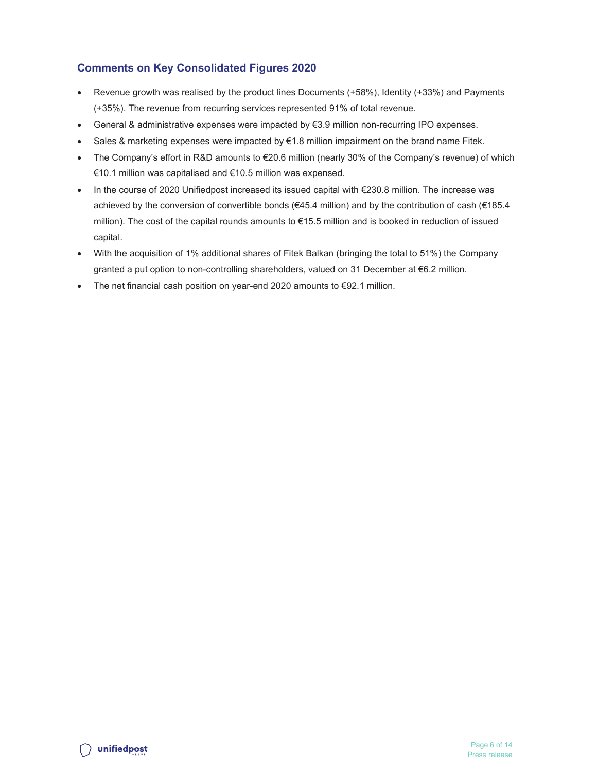# Comments on Key Consolidated Figures 2020

- Revenue growth was realised by the product lines Documents (+58%), Identity (+33%) and Payments (+35%). The revenue from recurring services represented 91% of total revenue.
- $\bullet$  General & administrative expenses were impacted by €3.9 million non-recurring IPO expenses.
- Sales & marketing expenses were impacted by  $\epsilon$ 1.8 million impairment on the brand name Fitek.
- The Company's effort in R&D amounts to  $\epsilon$ 20.6 million (nearly 30% of the Company's revenue) of which €10.1 million was capitalised and €10.5 million was expensed.
- In the course of 2020 Unifiedpost increased its issued capital with €230.8 million. The increase was achieved by the conversion of convertible bonds (€45.4 million) and by the contribution of cash (€185.4 million). The cost of the capital rounds amounts to €15.5 million and is booked in reduction of issued capital.
- With the acquisition of 1% additional shares of Fitek Balkan (bringing the total to 51%) the Company granted a put option to non-controlling shareholders, valued on 31 December at €6.2 million.
- The net financial cash position on year-end 2020 amounts to €92.1 million.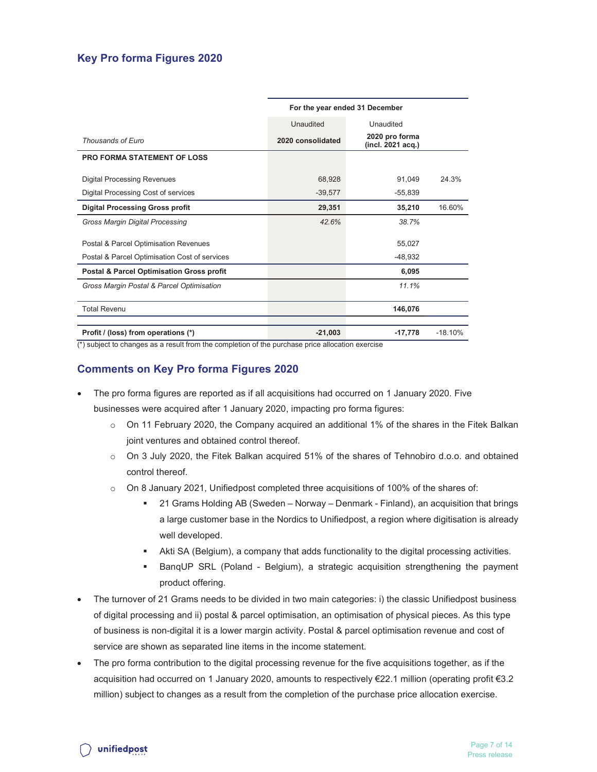# Key Pro forma Figures 2020

|                                               | For the year ended 31 December |                                     |           |  |
|-----------------------------------------------|--------------------------------|-------------------------------------|-----------|--|
|                                               | Unaudited                      | Unaudited                           |           |  |
| Thousands of Euro                             | 2020 consolidated              | 2020 pro forma<br>(incl. 2021 acq.) |           |  |
| <b>PRO FORMA STATEMENT OF LOSS</b>            |                                |                                     |           |  |
| <b>Digital Processing Revenues</b>            | 68,928                         | 91,049                              | 24.3%     |  |
| Digital Processing Cost of services           | $-39,577$                      | $-55,839$                           |           |  |
| <b>Digital Processing Gross profit</b>        | 29,351                         | 35,210                              | 16.60%    |  |
| Gross Margin Digital Processing               | 42.6%                          | 38.7%                               |           |  |
| Postal & Parcel Optimisation Revenues         |                                | 55,027                              |           |  |
| Postal & Parcel Optimisation Cost of services |                                | $-48,932$                           |           |  |
| Postal & Parcel Optimisation Gross profit     |                                | 6,095                               |           |  |
| Gross Margin Postal & Parcel Optimisation     |                                | 11.1%                               |           |  |
| <b>Total Revenu</b>                           |                                | 146,076                             |           |  |
| Profit / (loss) from operations (*)           | $-21,003$                      | $-17,778$                           | $-18.10%$ |  |

(\*) subject to changes as a result from the completion of the purchase price allocation exercise

# Comments on Key Pro forma Figures 2020

- The pro forma figures are reported as if all acquisitions had occurred on 1 January 2020. Five businesses were acquired after 1 January 2020, impacting pro forma figures:
	- $\circ$  On 11 February 2020, the Company acquired an additional 1% of the shares in the Fitek Balkan joint ventures and obtained control thereof.
	- o On 3 July 2020, the Fitek Balkan acquired 51% of the shares of Tehnobiro d.o.o. and obtained control thereof.
	- o On 8 January 2021, Unifiedpost completed three acquisitions of 100% of the shares of:
		- 21 Grams Holding AB (Sweden Norway Denmark Finland), an acquisition that brings a large customer base in the Nordics to Unifiedpost, a region where digitisation is already well developed.
		- Akti SA (Belgium), a company that adds functionality to the digital processing activities.
		- **BanqUP SRL (Poland Belgium), a strategic acquisition strengthening the payment** product offering.
- The turnover of 21 Grams needs to be divided in two main categories: i) the classic Unifiedpost business of digital processing and ii) postal & parcel optimisation, an optimisation of physical pieces. As this type of business is non-digital it is a lower margin activity. Postal & parcel optimisation revenue and cost of service are shown as separated line items in the income statement.
- The pro forma contribution to the digital processing revenue for the five acquisitions together, as if the acquisition had occurred on 1 January 2020, amounts to respectively €22.1 million (operating profit €3.2 million) subject to changes as a result from the completion of the purchase price allocation exercise.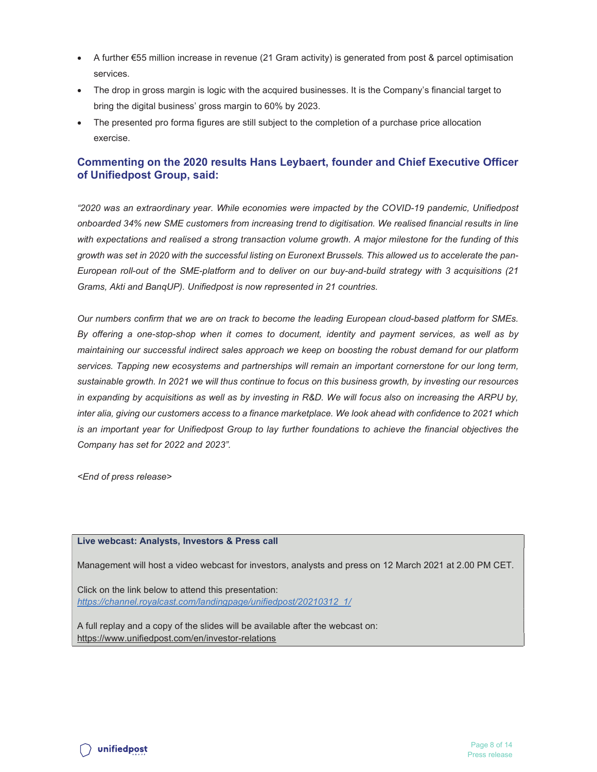- A further €55 million increase in revenue (21 Gram activity) is generated from post & parcel optimisation services.
- The drop in gross margin is logic with the acquired businesses. It is the Company's financial target to bring the digital business' gross margin to 60% by 2023.
- The presented pro forma figures are still subject to the completion of a purchase price allocation exercise.

# Commenting on the 2020 results Hans Leybaert, founder and Chief Executive Officer of Unifiedpost Group, said:

"2020 was an extraordinary year. While economies were impacted by the COVID-19 pandemic, Unifiedpost onboarded 34% new SME customers from increasing trend to digitisation. We realised financial results in line with expectations and realised a strong transaction volume growth. A major milestone for the funding of this growth was set in 2020 with the successful listing on Euronext Brussels. This allowed us to accelerate the pan-European roll-out of the SME-platform and to deliver on our buy-and-build strategy with 3 acquisitions (21 Grams, Akti and BanqUP). Unifiedpost is now represented in 21 countries.

Our numbers confirm that we are on track to become the leading European cloud-based platform for SMEs. By offering a one-stop-shop when it comes to document, identity and payment services, as well as by maintaining our successful indirect sales approach we keep on boosting the robust demand for our platform services. Tapping new ecosystems and partnerships will remain an important cornerstone for our long term, sustainable growth. In 2021 we will thus continue to focus on this business growth, by investing our resources in expanding by acquisitions as well as by investing in R&D. We will focus also on increasing the ARPU by, inter alia, giving our customers access to a finance marketplace. We look ahead with confidence to 2021 which is an important year for Unifiedpost Group to lay further foundations to achieve the financial objectives the Company has set for 2022 and 2023".

<End of press release>

#### Live webcast: Analysts, Investors & Press call

Management will host a video webcast for investors, analysts and press on 12 March 2021 at 2.00 PM CET.

Click on the link below to attend this presentation: https://channel.royalcast.com/landingpage/unifiedpost/20210312\_1/

A full replay and a copy of the slides will be available after the webcast on: https://www.unifiedpost.com/en/investor-relations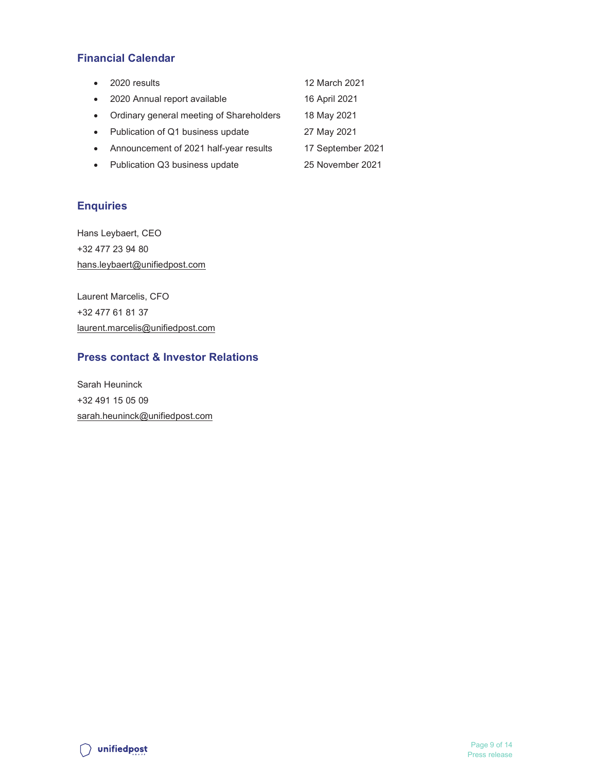# Financial Calendar

| $\bullet$ | 2020 results                             | 12 March 2021     |
|-----------|------------------------------------------|-------------------|
| $\bullet$ | 2020 Annual report available             | 16 April 2021     |
| $\bullet$ | Ordinary general meeting of Shareholders | 18 May 2021       |
| $\bullet$ | Publication of Q1 business update        | 27 May 2021       |
| $\bullet$ | Announcement of 2021 half-year results   | 17 September 2021 |
| $\bullet$ | Publication Q3 business update           | 25 November 2021  |

# **Enquiries**

Hans Leybaert, CEO +32 477 23 94 80 hans.leybaert@unifiedpost.com

Laurent Marcelis, CFO +32 477 61 81 37 laurent.marcelis@unifiedpost.com

# Press contact & Investor Relations

Sarah Heuninck +32 491 15 05 09 sarah.heuninck@unifiedpost.com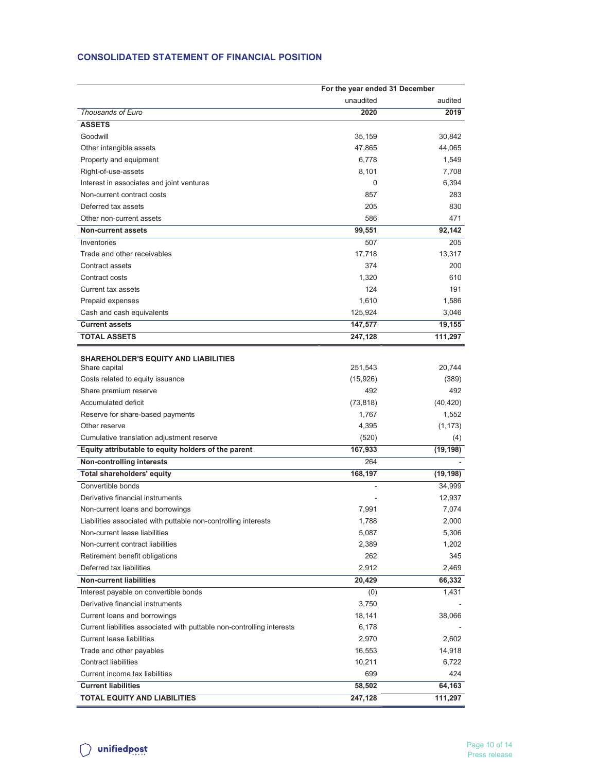#### CONSOLIDATED STATEMENT OF FINANCIAL POSITION

|                                                                        | For the year ended 31 December |           |
|------------------------------------------------------------------------|--------------------------------|-----------|
|                                                                        | unaudited                      | audited   |
| Thousands of Euro                                                      | 2020                           | 2019      |
| <b>ASSETS</b>                                                          |                                |           |
| Goodwill                                                               | 35,159                         | 30,842    |
| Other intangible assets                                                | 47,865                         | 44,065    |
| Property and equipment                                                 | 6,778                          | 1,549     |
| Right-of-use-assets                                                    | 8,101                          | 7,708     |
| Interest in associates and joint ventures                              | 0                              | 6,394     |
| Non-current contract costs                                             | 857                            | 283       |
| Deferred tax assets                                                    | 205                            | 830       |
| Other non-current assets                                               | 586                            | 471       |
| <b>Non-current assets</b>                                              | 99,551                         | 92,142    |
| Inventories                                                            | 507                            | 205       |
| Trade and other receivables                                            | 17,718                         | 13,317    |
| Contract assets                                                        | 374                            | 200       |
| Contract costs                                                         | 1,320                          | 610       |
| Current tax assets                                                     | 124                            | 191       |
| Prepaid expenses                                                       | 1.610                          | 1,586     |
| Cash and cash equivalents                                              | 125,924                        | 3,046     |
| <b>Current assets</b>                                                  | 147,577                        | 19,155    |
| <b>TOTAL ASSETS</b>                                                    | 247,128                        | 111,297   |
|                                                                        |                                |           |
| <b>SHAREHOLDER'S EQUITY AND LIABILITIES</b><br>Share capital           | 251,543                        | 20,744    |
| Costs related to equity issuance                                       | (15, 926)                      | (389)     |
| Share premium reserve                                                  | 492                            | 492       |
| Accumulated deficit                                                    | (73, 818)                      | (40, 420) |
| Reserve for share-based payments                                       | 1,767                          | 1,552     |
| Other reserve                                                          | 4,395                          | (1, 173)  |
| Cumulative translation adjustment reserve                              | (520)                          | (4)       |
| Equity attributable to equity holders of the parent                    | 167,933                        | (19, 198) |
| Non-controlling interests                                              | 264                            |           |
| Total shareholders' equity                                             | 168,197                        | (19, 198) |
| Convertible bonds                                                      |                                | 34,999    |
| Derivative financial instruments                                       |                                | 12,937    |
| Non-current loans and borrowings                                       | 7,991                          | 7,074     |
| Liabilities associated with puttable non-controlling interests         | 1,788                          | 2,000     |
| Non-current lease liabilities                                          | 5,087                          | 5,306     |
| Non-current contract liabilities                                       | 2,389                          | 1,202     |
| Retirement benefit obligations                                         | 262                            | 345       |
| Deferred tax liabilities                                               | 2,912                          | 2,469     |
| <b>Non-current liabilities</b>                                         | 20,429                         | 66,332    |
| Interest payable on convertible bonds                                  | (0)                            | 1,431     |
| Derivative financial instruments                                       | 3,750                          |           |
| Current loans and borrowings                                           | 18,141                         | 38,066    |
| Current liabilities associated with puttable non-controlling interests | 6,178                          |           |
| <b>Current lease liabilities</b>                                       | 2,970                          | 2,602     |
| Trade and other payables                                               | 16,553                         | 14,918    |
| <b>Contract liabilities</b>                                            | 10,211                         | 6,722     |
| Current income tax liabilities                                         | 699                            | 424       |
| <b>Current liabilities</b>                                             | 58,502                         | 64,163    |
| <b>TOTAL EQUITY AND LIABILITIES</b>                                    | 247,128                        | 111,297   |
|                                                                        |                                |           |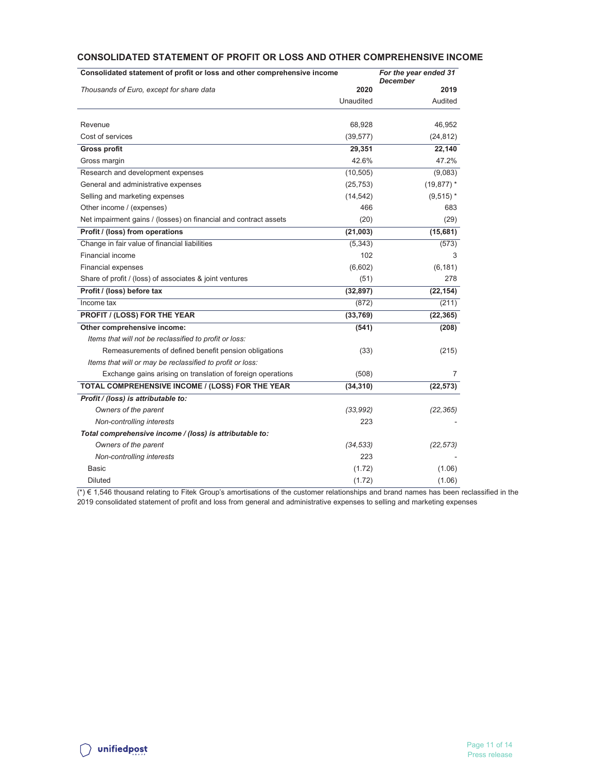| Consolidated statement of profit or loss and other comprehensive income |           | For the year ended 31<br><b>December</b> |  |
|-------------------------------------------------------------------------|-----------|------------------------------------------|--|
| Thousands of Euro, except for share data                                | 2020      | 2019                                     |  |
|                                                                         | Unaudited | Audited                                  |  |
| Revenue                                                                 | 68,928    | 46,952                                   |  |
| Cost of services                                                        | (39, 577) | (24, 812)                                |  |
| <b>Gross profit</b>                                                     | 29,351    | 22,140                                   |  |
| Gross margin                                                            | 42.6%     | 47.2%                                    |  |
| Research and development expenses                                       | (10, 505) | (9,083)                                  |  |
| General and administrative expenses                                     | (25, 753) | $(19, 877)$ *                            |  |
| Selling and marketing expenses                                          | (14, 542) | $(9,515)$ *                              |  |
| Other income / (expenses)                                               | 466       | 683                                      |  |
| Net impairment gains / (losses) on financial and contract assets        | (20)      | (29)                                     |  |
| Profit / (loss) from operations                                         | (21,003)  | (15,681)                                 |  |
| Change in fair value of financial liabilities                           | (5,343)   | (573)                                    |  |
| <b>Financial income</b>                                                 | 102       | 3                                        |  |
| <b>Financial expenses</b>                                               | (6,602)   | (6, 181)                                 |  |
| Share of profit / (loss) of associates & joint ventures                 | (51)      | 278                                      |  |
| Profit / (loss) before tax                                              | (32, 897) | (22, 154)                                |  |
| Income tax                                                              | (872)     | (211)                                    |  |
| PROFIT / (LOSS) FOR THE YEAR                                            | (33, 769) | (22, 365)                                |  |
| Other comprehensive income:                                             | (541)     | (208)                                    |  |
| Items that will not be reclassified to profit or loss:                  |           |                                          |  |
| Remeasurements of defined benefit pension obligations                   | (33)      | (215)                                    |  |
| Items that will or may be reclassified to profit or loss:               |           |                                          |  |
| Exchange gains arising on translation of foreign operations             | (508)     | $\overline{7}$                           |  |
| TOTAL COMPREHENSIVE INCOME / (LOSS) FOR THE YEAR                        | (34, 310) | (22, 573)                                |  |
| Profit / (loss) is attributable to:                                     |           |                                          |  |
| Owners of the parent                                                    | (33,992)  | (22, 365)                                |  |
| Non-controlling interests                                               | 223       |                                          |  |
| Total comprehensive income / (loss) is attributable to:                 |           |                                          |  |
| Owners of the parent                                                    | (34, 533) | (22, 573)                                |  |
| Non-controlling interests                                               | 223       |                                          |  |
| Basic                                                                   | (1.72)    | (1.06)                                   |  |
| <b>Diluted</b>                                                          | (1.72)    | (1.06)                                   |  |

#### CONSOLIDATED STATEMENT OF PROFIT OR LOSS AND OTHER COMPREHENSIVE INCOME

 $(*) \in 1,546$  thousand relating to Fitek Group's amortisations of the customer relationships and brand names has been reclassified in the 2019 consolidated statement of profit and loss from general and administrative expenses to selling and marketing expenses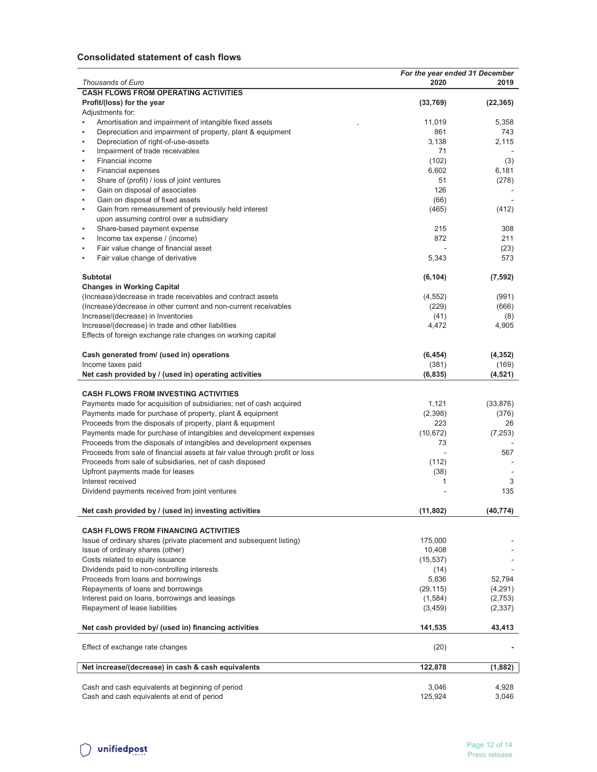#### Consolidated statement of cash flows

|                                                                             | For the year ended 31 December |           |
|-----------------------------------------------------------------------------|--------------------------------|-----------|
| Thousands of Euro                                                           | 2020                           | 2019      |
| <b>CASH FLOWS FROM OPERATING ACTIVITIES</b>                                 |                                |           |
| Profit/(loss) for the year                                                  | (33, 769)                      | (22, 365) |
| Adjustments for:                                                            |                                |           |
| Amortisation and impairment of intangible fixed assets                      | 11,019                         | 5,358     |
| Depreciation and impairment of property, plant & equipment<br>٠             | 861                            | 743       |
| Depreciation of right-of-use-assets<br>٠                                    | 3.138                          | 2,115     |
| Impairment of trade receivables<br>٠                                        | 71                             |           |
| Financial income<br>٠                                                       | (102)                          | (3)       |
| <b>Financial expenses</b><br>٠                                              | 6,602                          | 6,181     |
| Share of (profit) / loss of joint ventures<br>٠                             | 51                             | (278)     |
| Gain on disposal of associates<br>٠                                         | 126                            |           |
| Gain on disposal of fixed assets<br>٠                                       | (66)                           |           |
| Gain from remeasurement of previously held interest<br>٠                    | (465)                          | (412)     |
| upon assuming control over a subsidiary                                     |                                |           |
| Share-based payment expense<br>٠                                            | 215                            | 308       |
| Income tax expense / (income)<br>٠                                          | 872                            | 211       |
| Fair value change of financial asset                                        |                                | (23)      |
|                                                                             |                                |           |
| Fair value change of derivative                                             | 5,343                          | 573       |
|                                                                             |                                |           |
| <b>Subtotal</b>                                                             | (6, 104)                       | (7, 592)  |
| <b>Changes in Working Capital</b>                                           |                                |           |
| (Increase)/decrease in trade receivables and contract assets                | (4, 552)                       | (991)     |
| (Increase)/decrease in other current and non-current receivables            | (229)                          | (666)     |
| Increase/(decrease) in Inventories                                          | (41)                           | (8)       |
| Increase/(decrease) in trade and other liabilities                          | 4,472                          | 4,905     |
| Effects of foreign exchange rate changes on working capital                 |                                |           |
|                                                                             |                                |           |
| Cash generated from/ (used in) operations                                   | (6, 454)                       | (4, 352)  |
| Income taxes paid                                                           | (381)                          | (169)     |
| Net cash provided by / (used in) operating activities                       | (6, 835)                       | (4, 521)  |
|                                                                             |                                |           |
| <b>CASH FLOWS FROM INVESTING ACTIVITIES</b>                                 |                                |           |
| Payments made for acquisition of subsidiaries; net of cash acquired         | 1,121                          | (33, 876) |
| Payments made for purchase of property, plant & equipment                   | (2,398)                        | (376)     |
| Proceeds from the disposals of property, plant & equipment                  | 223                            | 26        |
| Payments made for purchase of intangibles and development expenses          | (10, 672)                      | (7, 253)  |
| Proceeds from the disposals of intangibles and development expenses         | 73                             |           |
| Proceeds from sale of financial assets at fair value through profit or loss |                                | 567       |
| Proceeds from sale of subsidiaries, net of cash disposed                    | (112)                          |           |
| Upfront payments made for leases                                            | (38)                           |           |
| Interest received                                                           | 1                              | 3         |
|                                                                             |                                | 135       |
| Dividend payments received from joint ventures                              |                                |           |
|                                                                             |                                |           |
| Net cash provided by / (used in) investing activities                       | (11, 802)                      | (40, 774) |
|                                                                             |                                |           |
| <b>CASH FLOWS FROM FINANCING ACTIVITIES</b>                                 |                                |           |
| Issue of ordinary shares (private placement and subsequent listing)         | 175,000                        |           |
| Issue of ordinary shares (other)                                            | 10,408                         |           |
| Costs related to equity issuance                                            | (15, 537)                      |           |
| Dividends paid to non-controlling interests                                 | (14)                           |           |
| Proceeds from loans and borrowings                                          | 5,836                          | 52,794    |
| Repayments of loans and borrowings                                          | (29, 115)                      | (4,291)   |
| Interest paid on loans, borrowings and leasings                             | (1, 584)                       | (2,753)   |
| Repayment of lease liabilities                                              | (3, 459)                       | (2, 337)  |
|                                                                             |                                |           |
| Net cash provided by/ (used in) financing activities                        | 141,535                        | 43,413    |
|                                                                             |                                |           |
| Effect of exchange rate changes                                             | (20)                           |           |
|                                                                             |                                |           |
| Net increase/(decrease) in cash & cash equivalents                          | 122,878                        | (1,882)   |
|                                                                             |                                |           |
| Cash and cash equivalents at beginning of period                            | 3,046                          | 4,928     |
| Cash and cash equivalents at end of period                                  | 125,924                        | 3,046     |
|                                                                             |                                |           |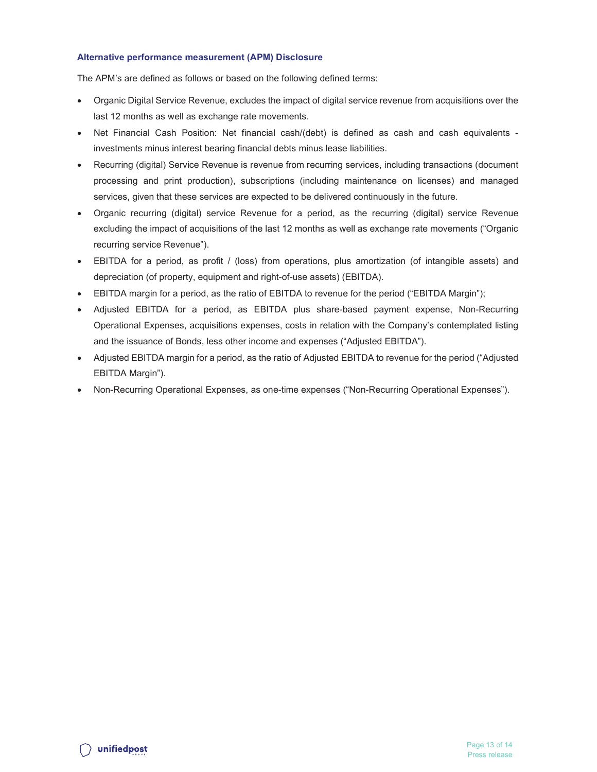#### Alternative performance measurement (APM) Disclosure

The APM's are defined as follows or based on the following defined terms:

- Organic Digital Service Revenue, excludes the impact of digital service revenue from acquisitions over the last 12 months as well as exchange rate movements.
- Net Financial Cash Position: Net financial cash/(debt) is defined as cash and cash equivalents investments minus interest bearing financial debts minus lease liabilities.
- Recurring (digital) Service Revenue is revenue from recurring services, including transactions (document processing and print production), subscriptions (including maintenance on licenses) and managed services, given that these services are expected to be delivered continuously in the future.
- Organic recurring (digital) service Revenue for a period, as the recurring (digital) service Revenue excluding the impact of acquisitions of the last 12 months as well as exchange rate movements ("Organic recurring service Revenue").
- EBITDA for a period, as profit / (loss) from operations, plus amortization (of intangible assets) and depreciation (of property, equipment and right-of-use assets) (EBITDA).
- EBITDA margin for a period, as the ratio of EBITDA to revenue for the period ("EBITDA Margin");
- Adjusted EBITDA for a period, as EBITDA plus share-based payment expense, Non-Recurring Operational Expenses, acquisitions expenses, costs in relation with the Company's contemplated listing and the issuance of Bonds, less other income and expenses ("Adjusted EBITDA").
- Adjusted EBITDA margin for a period, as the ratio of Adjusted EBITDA to revenue for the period ("Adjusted EBITDA Margin").
- Non-Recurring Operational Expenses, as one-time expenses ("Non-Recurring Operational Expenses").